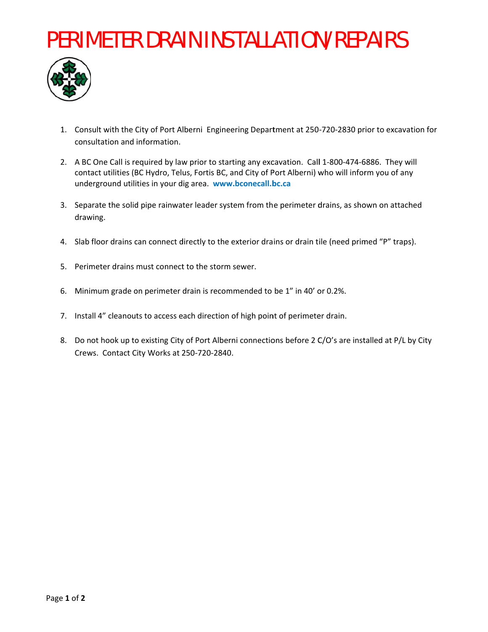## **PERIMETER DRAIN INSTALLATION/REPAIRS**



- 1. Consult with the City of Port Alberni Engineering Department at 250-720-2830 prior to excavation for consultation and information.
- 2. A BC One Call is required by law prior to starting any excavation. Call 1-800-474-6886. They will contact utilities (BC Hydro, Telus, Fortis BC, and City of Port Alberni) who will inform you of any underground utilities in your dig area. www.bconecall.bc.ca
- 3. Separate the solid pipe rainwater leader system from the perimeter drains, as shown on attached drawing.
- 4. Slab floor drains can connect directly to the exterior drains or drain tile (need primed "P" traps).
- 5. Perimeter drains must connect to the storm sewer.
- 6. Minimum grade on perimeter drain is recommended to be 1" in 40' or 0.2%.
- 7. Install 4" cleanouts to access each direction of high point of perimeter drain.
- 8. Do not hook up to existing City of Port Alberni connections before 2 C/O's are installed at P/L by City Crews. Contact City Works at 250-720-2840.